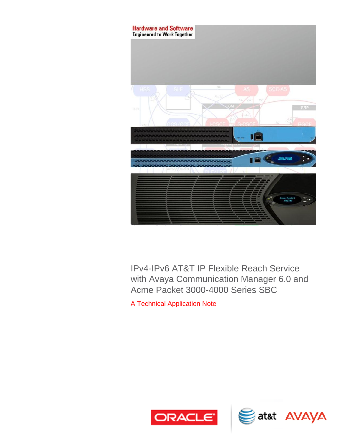

IPv4-IPv6 AT&T IP Flexible Reach Service with Avaya Communication Manager 6.0 and Acme Packet 3000-4000 Series SBC

A Technical Application Note



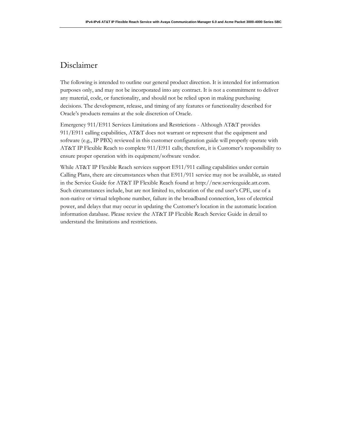# Disclaimer

The following is intended to outline our general product direction. It is intended for information purposes only, and may not be incorporated into any contract. It is not a commitment to deliver any material, code, or functionality, and should not be relied upon in making purchasing decisions. The development, release, and timing of any features or functionality described for Oracle's products remains at the sole discretion of Oracle.

Emergency 911/E911 Services Limitations and Restrictions - Although AT&T provides 911/E911 calling capabilities, AT&T does not warrant or represent that the equipment and software (e.g., IP PBX) reviewed in this customer configuration guide will properly operate with AT&T IP Flexible Reach to complete 911/E911 calls; therefore, it is Customer's responsibility to ensure proper operation with its equipment/software vendor.

While AT&T IP Flexible Reach services support E911/911 calling capabilities under certain Calling Plans, there are circumstances when that E911/911 service may not be available, as stated in the Service Guide for AT&T IP Flexible Reach found at http://new.serviceguide.att.com. Such circumstances include, but are not limited to, relocation of the end user's CPE, use of a non-native or virtual telephone number, failure in the broadband connection, loss of electrical power, and delays that may occur in updating the Customer's location in the automatic location information database. Please review the AT&T IP Flexible Reach Service Guide in detail to understand the limitations and restrictions.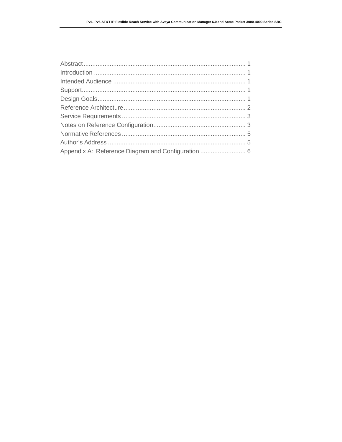| Appendix A: Reference Diagram and Configuration  6 |  |
|----------------------------------------------------|--|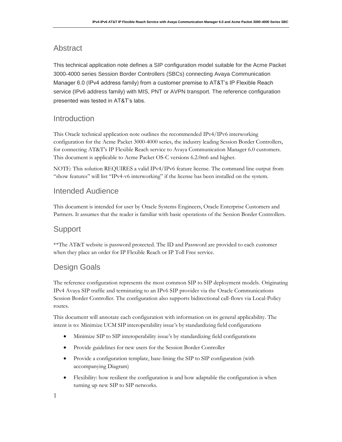### <span id="page-3-0"></span>Abstract

This technical application note defines a SIP configuration model suitable for the Acme Packet 3000-4000 series Session Border Controllers (SBCs) connecting Avaya Communication Manager 6.0 (IPv4 address family) from a customer premise to AT&T's IP Flexible Reach service (IPv6 address family) with MIS, PNT or AVPN transport. The reference configuration presented was tested in AT&T's labs.

### <span id="page-3-1"></span>Introduction

This Oracle technical application note outlines the recommended IPv4/IPv6 interworking configuration for the Acme Packet 3000-4000 series, the industry leading Session Border Controllers, for connecting AT&T's IP Flexible Reach service to Avaya Communication Manager 6.0 customers. This document is applicable to Acme Packet OS-C versions 6.2.0m6 and higher.

NOTE: This solution REQUIRES a valid IPv4/IPv6 feature license. The command line output from "show features" will list "IPv4-v6 interworking" if the license has been installed on the system.

### <span id="page-3-2"></span>Intended Audience

This document is intended for user by Oracle Systems Engineers, Oracle Enterprise Customers and Partners. It assumes that the reader is familiar with basic operations of the Session Border Controllers.

### <span id="page-3-3"></span>Support

\*\*The AT&T website is password protected. The ID and Password are provided to each customer when they place an order for IP Flexible Reach or IP Toll Free service.

### <span id="page-3-4"></span>Design Goals

The reference configuration represents the most common SIP to SIP deployment models. Originating IPv4 Avaya SIP traffic and terminating to an IPv6 SIP provider via the Oracle Communications Session Border Controller. The configuration also supports bidirectional call-flows via Local-Policy routes.

This document will annotate each configuration with information on its general applicability. The intent is to: Minimize UCM SIP interoperability issue's by standardizing field configurations

- Minimize SIP to SIP interoperability issue's by standardizing field configurations
- Provide guidelines for new users for the Session Border Controller
- Provide a configuration template, base-lining the SIP to SIP configuration (with accompanying Diagram)
- Flexibility: how resilient the configuration is and how adaptable the configuration is when turning up new SIP to SIP networks.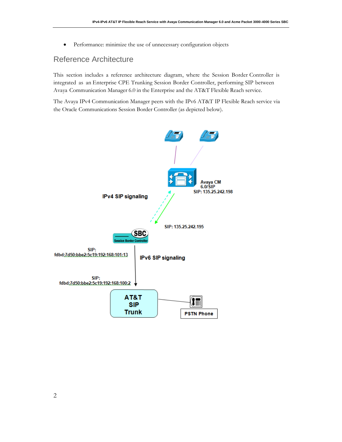Performance: minimize the use of unnecessary configuration objects

## <span id="page-4-0"></span>Reference Architecture

This section includes a reference architecture diagram, where the Session Border Controller is integrated as an Enterprise CPE Trunking Session Border Controller, performing SIP between Avaya Communication Manager 6.0 in the Enterprise and the AT&T Flexible Reach service.

The Avaya IPv4 Communication Manager peers with the IPv6 AT&T IP Flexible Reach service via the Oracle Communications Session Border Controller (as depicted below).

<span id="page-4-1"></span>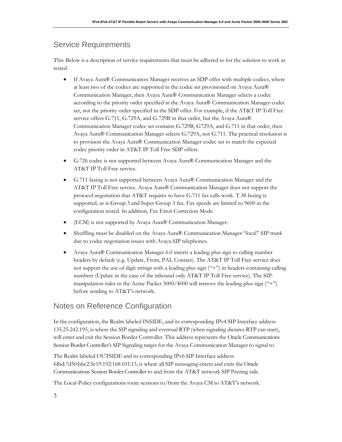## Service Requirements

This Below is a description of service requirements that must be adhered to for the solution to work as tested.

- If Avaya Aura® Communication Manager receives an SDP offer with multiple codecs, where at least two of the codecs are supported in the codec set provisioned on Avaya Aura® Communication Manager, then Avaya Aura® Communication Manager selects a codec according to the priority order specified in the Avaya Aura® Communication Manager codec set, not the priority order specified in the SDP offer. For example, if the AT&T IP Toll Free service offers G.711, G.729A, and G.729B in that order, but the Avaya Aura® Communication Manager codec set contains G.729B, G729A, and G.711 in that order, then Avaya Aura® Communication Manager selects G.729A, not G.711. The practical resolution is to provision the Avaya Aura® Communication Manager codec set to match the expected codec priority order in AT&T IP Toll Free SDP offers.
- G.726 codec is not supported between Avaya Aura® Communication Manager and the AT&T IP Toll Free service.
- G.711 faxing is not supported between Avaya Aura® Communication Manager and the AT&T IP Toll Free service. Avaya Aura® Communication Manager does not support the protocol negotiation that AT&T requires to have G.711 fax calls work. T.38 faxing is supported, as is Group 3 and Super Group 3 fax. Fax speeds are limited to 9600 in the configuration tested. In addition, Fax Error Correction Mode
- (ECM) is not supported by Avaya Aura® Communication Manager.
- Shuffling must be disabled on the Avaya Aura® Communication Manager "local" SIP trunk due to codec negotiation issues with Avaya SIP telephones.
- Avaya Aura® Communication Manager 6.0 inserts a leading plus sign to calling number headers by default (e.g. Update, From, PAI, Contact). The AT&T IP Toll Free service does not support the use of digit strings with a leading plus sign ("+") in headers containing calling numbers (Update in the case of the inbound only AT&T IP Toll Free service). The SIPmanipulation rules in the Acme Packet 3000/4000 will remove the leading plus sign ("+") before sending to AT&T's network.

### <span id="page-5-0"></span>Notes on Reference Configuration

In the configuration, the Realm labeled INSIDE, and its corresponding IPv4 SIP Interface address 135.25.242.195, is where the SIP signaling and eventual RTP (when signaling dictates RTP can start), will enter and exit the Session Border Controller. This address represents the Oracle Communications Session Border Controller's SIP Signaling target for the Avaya Communication Manager to signal to.

The Realm labeled OUTSIDE and its corresponding IPv6 SIP Interface address fdbd:7d50:bbe2:5c19:192:168:101:13, is where all SIP messaging enters and exits the Oracle Communications Session Border Controller to and from the AT&T network SIP Peering side.

The Local-Policy configurations route sessions to/from the Avaya CM to AT&T's network.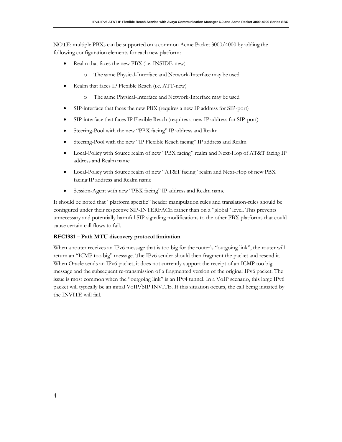NOTE: multiple PBXs can be supported on a common Acme Packet 3000/4000 by adding the following configuration elements for each new platform:

- Realm that faces the new PBX (i.e. INSIDE-new)
	- o The same Physical-Interface and Network-Interface may be used
- Realm that faces IP Flexible Reach (i.e. ATT-new)
	- o The same Physical-Interface and Network-Interface may be used
- SIP-interface that faces the new PBX (requires a new IP address for SIP-port)
- SIP-interface that faces IP Flexible Reach (requires a new IP address for SIP-port)
- Steering-Pool with the new "PBX facing" IP address and Realm
- Steering-Pool with the new "IP Flexible Reach facing" IP address and Realm
- Local-Policy with Source realm of new "PBX facing" realm and Next-Hop of AT&T facing IP address and Realm name
- Local-Policy with Source realm of new "AT&T facing" realm and Next-Hop of new PBX facing IP address and Realm name
- Session-Agent with new "PBX facing" IP address and Realm name

It should be noted that "platform specific" header manipulation rules and translation-rules should be configured under their respective SIP-INTERFACE rather than on a "global" level. This prevents unnecessary and potentially harmful SIP signaling modifications to the other PBX platforms that could cause certain call flows to fail.

#### **RFC1981 – Path MTU discovery protocol limitation**

<span id="page-6-0"></span>When a router receives an IPv6 message that is too big for the router's "outgoing link", the router will return an "ICMP too big" message. The IPv6 sender should then fragment the packet and resend it. When Oracle sends an IPv6 packet, it does not currently support the receipt of an ICMP too big message and the subsequent re-transmission of a fragmented version of the original IPv6 packet. The issue is most common when the "outgoing link" is an IPv4 tunnel. In a VoIP scenario, this large IPv6 packet will typically be an initial VoIP/SIP INVITE. If this situation occurs, the call being initiated by the INVITE will fail.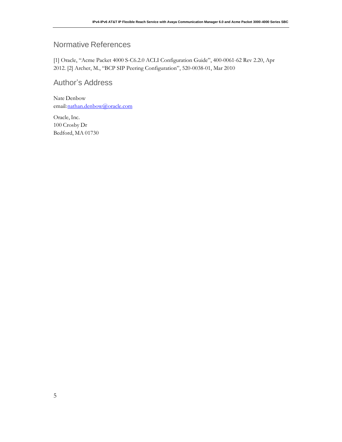# Normative References

[1] Oracle, "Acme Packet 4000 S-C6.2.0 ACLI Configuration Guide", 400-0061-62 Rev 2.20, Apr 2012. [2] Archer, M., "BCP SIP Peering Configuration", 520-0038-01, Mar 2010

## <span id="page-7-0"></span>Author's Address

Nate Denbow email[:nathan.denbow@oracle.com](mailto:nathan.denbow@oracle.com)

Oracle, Inc. 100 Crosby Dr Bedford, MA 01730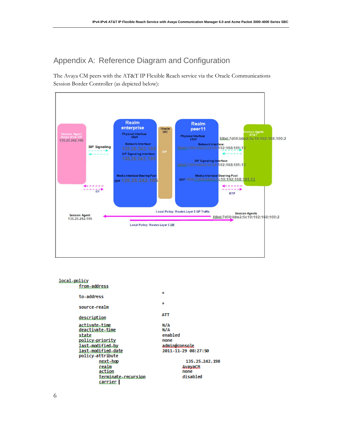# <span id="page-8-0"></span>Appendix A: Reference Diagram and Configuration

The Avaya CM peers with the AT&T IP Flexible Reach service via the Oracle Communications Session Border Controller (as depicted below):



| local-policy<br>from-address           |                                      |
|----------------------------------------|--------------------------------------|
| to-address                             | ż.                                   |
| source-realm                           | s.                                   |
| description                            | ATT                                  |
| activate-time<br>deactivate-time       | N/A<br>N/A                           |
| state<br>policy-priority               | enabled<br>none                      |
| last-modified-by<br>last-modified-date | admin@console<br>2011-11-29 08:27:50 |
| policy-attribute<br>next-hop           | 135.25.242.198                       |
| realm<br>action                        | AvavaCM<br>none                      |
| terminate-recursion<br><u>carrier</u>  | disabled                             |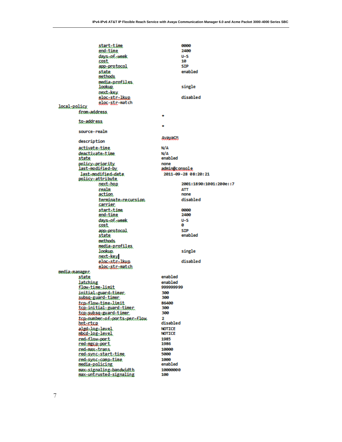|               | <u>start-time</u>                        |               | 0000                   |
|---------------|------------------------------------------|---------------|------------------------|
|               | end-time                                 |               | 2400                   |
|               | days-of-week                             |               | U-S                    |
|               | cost                                     |               | 10                     |
|               | app-protocol                             |               | <b>SIP</b>             |
|               | state                                    |               | enabled                |
|               | methods.                                 |               |                        |
|               | media-profiles.                          |               |                        |
|               | lookup.                                  |               | single                 |
|               | next-key                                 |               |                        |
|               |                                          |               | disabled               |
|               | elecistrilkue<br>eloc-str-match          |               |                        |
| local-policy  |                                          |               |                        |
|               | from-address.                            |               |                        |
|               |                                          |               |                        |
|               | to-address                               |               |                        |
|               |                                          |               |                        |
|               | source-realm                             |               |                        |
|               |                                          |               |                        |
|               | description                              | AvayaCM       |                        |
|               |                                          |               |                        |
|               | <u>activate-time</u>                     | N/A           |                        |
|               | deactivate-time                          | N/A           |                        |
|               | state                                    | enabled       |                        |
|               | policy-priority                          | none          |                        |
|               | last-modified-by                         | admin@console |                        |
|               | last-modified-date                       |               | 2011-09-28 08:20:21    |
|               | <u>policy-attribute</u>                  |               |                        |
|               | next-bop                                 |               | 2001:1890:1001:200e::7 |
|               | realm                                    |               | АТТ                    |
|               | action.                                  |               | none                   |
|               | terminate-recursion                      |               | disabled               |
|               | carrier                                  |               |                        |
|               | stact-time                               |               | 0000                   |
|               | end-time                                 |               | 2400                   |
|               | days-of-week                             |               | U-S                    |
|               | cost                                     |               | ø                      |
|               | app-protocol                             |               | STP                    |
|               | state                                    |               | enabled                |
|               | methods.                                 |               |                        |
|               | media-profiles                           |               |                        |
|               | lookup.                                  |               | single                 |
|               | next-key                                 |               |                        |
|               | elocastralkup                            |               | disabled               |
|               | elos-str-match                           |               |                        |
| media-manager |                                          |               |                        |
|               | state                                    | enabled       |                        |
|               | latching                                 | enabled       |                        |
|               | <u>flow-time-limit</u>                   | 999999999     |                        |
|               |                                          |               |                        |
|               | initial-guand-timen<br>subsg-guard-timer | 300<br>300    |                        |
|               |                                          |               |                        |
|               | tcn-flow-time-limit                      | 86400<br>300  |                        |
|               | <u>tcp-initial-guard-timer.</u>          |               |                        |
|               | <u>tcp-subsq-guard-timer</u>             | 300           |                        |
|               | tagenumbereafeportsepereflow             | 2             |                        |
|               | bot-rtcg                                 | disabled      |                        |
|               | algd-log-level.                          | <b>NOTICE</b> |                        |
|               | obad-log-level                           | <b>NOTICE</b> |                        |
|               | red-flow-port                            | 1985          |                        |
|               | <u>red-mecn-port</u>                     | 1986          |                        |
|               | red-max-trans                            | 10000         |                        |
|               | red-sync-start-time                      | 5000          |                        |
|               | red-sync-comp-time                       | 1000          |                        |
|               | media-policing                           | enabled       |                        |
|               | max-signaling-bandwidth                  | 10000000      |                        |
|               | max-untrusted-signaling                  | 100           |                        |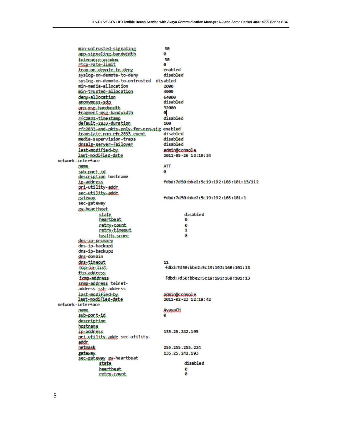min-untrusted-signaling 30 ø app-signaling-bandwidth tolerance-window. 30 ctcg-rate-limit  $\bullet$ enabled trap-on-demote-to-deny syslog-on-demote-to-deny disabled syslog-on-demote-to-untrusted disabled min-media-allocation 2000 min-trusted-allocation 4000 deny-allocation 64000 disabled anonymous-sdp arn-msg-bandwidth 32000 fragment-msg-bandwidth ø rfc2833-timestamp disabled default-2833-duration 169 rfc2833-end-pkts-only-for-non-sig enabled disabled translate-non-rfc2833-event disabled media-supervision-traps dosalg-server-failover disabled admin@console last-modified-by. last-modified-date 2011-05-26 13:19:34 network-interface **ATT** name a sub-port-id description hostname fdbd:7d50:bbe2:5c19:192:168:101:13/112 ip-address pri-utility-addr. sec-utility-addr. fdbd:7d50:bbe2:5c19:192:168:101:1 gateway. sec-gateway gw-beartbeat disabled state heartbeat. ø ø retry-count. retry-timeout  $\mathbf 1$ bealth-score ø dos-in-primary dns-ip-backup1 dns-ip-backup2 dos-domain dos-timeout 11 hip-ip-list fdbd:7d50:bbe2:5c19:192:168:101:13 ftp-address fdbd:7d50:bbe2:5c19:192:168:101:13 ismo-address. somp-address telnetaddress ssh-address last-modified-by. admin@console last-modified-date 2011-02-23 12:18:42 network-interface **AvayaCA** name sub-port-id a description hostname ip-address 135.25.242.195 pri-utility-addr sec-utilityaddr. 255.255.255.224 netmask 135.25.242.193 gateway sec-gateway gw-heartbeat disabled state **beactbeat** ø retry-count a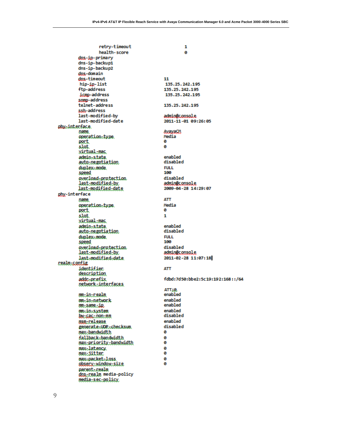1

retry-timeout health-score dos-ip-primary dns-ip-backup1 dns-ip-backup2 dns-domain dns-timeout hip-ip-list ftp-address icmo-address snmp-address telnet-address ssh-address last-modified-by last-modified-date physinterface name operation-type. port slot. virtual-mac admin-state. auto-negotiation duplex-mode. speed overload-protection last-modified-by last-modified-date phy-interface name operation-type. port. slot. virtual-mac admin-state. auto-negotiation duplex-mode. speed overload-protection last-modified-by last-modified-date realm-sonfig identifier <u>description</u> addc-prefix network-interfaces mm-in-realm mm.in.network mmusame.ip mm.in.system **but section that** msm-release generate=UDR=checksum max-bandwidth fallback-bandwidth max-priority-bandwidth max-latency. max-jitter max-packet-loss observ-window-size pacenterealm dos-realm media-policy media-sec-policy

ø 11 135.25.242.195 135.25.242.195 135.25.242.195 135.25.242.195 admin@console 2011-11-01 09:26:05 **AvayaCM** Media ø ø enabled disabled **FULL** 100 disabled admin@console 2009-04-28 14:29:07 **ATT** Media ø  $\mathbf{1}$ enabled disabled **FULL** 100 disabled admin@console 2011-02-28 11:07:18 **ATT** fdbd:7d50:bbe2:5c19:192:168::/64 ATT;Q. enabled enabled enabled enabled disabled enabled disabled ø ø ø ø ø Ø ø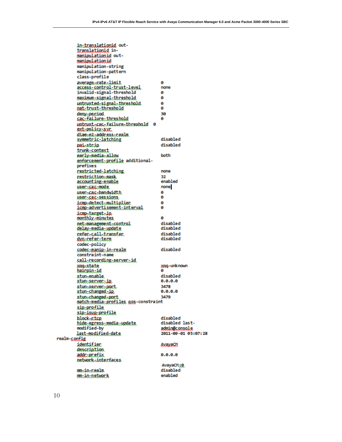in-translationid outtranslationid inmanipulationid outmanipulationid manipulation-string manipulation-pattern class-profile average-rate-limit ø access-control-trust-level. none invalid-signal-threshold ø maximum-signal-threshold ø untrusted-signal-threshold. ø nat-trust-threshold ø 30 deny-period sac-failure.threshold ø untrust-cac-failure-threshold 0 ext-policy-sur diam-e2-address-realm disabled symmetric-latching disabled paisstrip trunk-context early-media-allow both enforcement-profile additionalprefixes restricted-latching. none restriction-mask 32 enabled accounting-enable none user-sas-mode user-cac-bandwidth. ø user-cac-sessions ø ismp-detect-multiplier ø icmp-advertisement-interval ø icmp-target-ip monthly-minutes a net-management-sontrol disabled delay-media-update disabled disabled refer=call=transfer disabled dyn-refer-term codec-policy disabled codec-manip-in-realm constraint-name call-recording-server-id xng-unknown xnq-state hairpin-id G) stun-enable. disabled stun-server-ip  $0.0.0.0$ stun-server-port. 3478  $0.0.0.0$ stun-changed-ip stun-changed-port 3479 match-media-profiles gos-constraint sip-profile sip-isup-profile block-rtca disabled disabled lasthide-egress-media-update admin@console modified-by last-modified-date 2011-09-01 05:07:28 realm-config identifier **AvayaCM** description addr-prefix 0.0.0.0 network-interfaces. AvayaCM:0 mm.in.cealm disabled mm-in-network enabled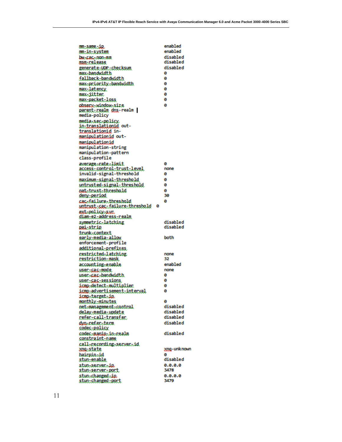enabled **musane-ip** enabled mm.in.system **bu-сас-лоп-лл** disabled disabled msm-release disabled generate-UDP-checksum max-bandwidth ø fallback-bandwidth ø max-priority-bandwidth ø ø max-latency max-jitter ø max-packet-loss ø observ-window-size ø parent-realm dos-realm | media-policy media.sec.policy in-translationid outtranslationid inmanipulationid outmanipulationid manipulation-string manipulation-pattern class-profile avecage-rate-limit Ø access=control=trust=level none invalid-signal-threshold ø maximum-signal-threshold ø untrusted-signal-threshold ø ø oat-trust-threshold deny-period 30 cacafailuceathreshold ø untrust-cac-failure-threshold ø ext-policy-sur diam-e2-address-realm symmetric-latching disabled disabled <u>pai-strip</u> trunk-context early-media-allow both enforcement-profile additional-prefixes. restricted-latching. none restriction-mask 32 enabled accounting-enable none user-sas-mode. user-cac-bandwidth. ø ø USBC: 606:58851005 ismp-detect-multiplier. 0 iome-advertisement-interval ø icmp-target-ip. monthly-minutes ø disabled net-management-control delay-media-update disabled disabled refer-sall-transfer disabled dyn-refer-term codec-policy codec-manip-in-realm disabled constraint-name call-recording-server-id xog-state xng-unknown hairpin-id Ø stun-enable disabled 0.0.0.0 stun-server-ip 3478 stun-server-port stun-changed-ip.  $0.0.0.0$ stun-changed-port 3479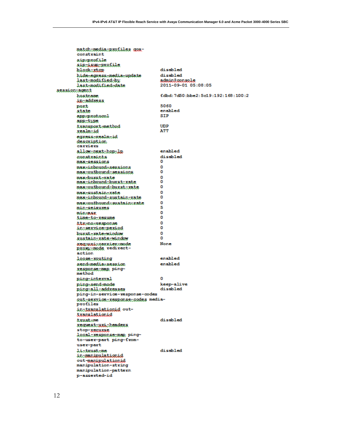|               | matchimediatprofiles gos-<br>constraint       |                                           |  |
|---------------|-----------------------------------------------|-------------------------------------------|--|
|               | sipsprofile<br>sip-isup-profile               |                                           |  |
|               | block-xtcp                                    | disabled                                  |  |
|               | hide-egress-media-undate                      | disabled                                  |  |
|               | last-modified-by                              | admin@console                             |  |
|               | last-modified-date                            | 2011-09-01 05:08:05                       |  |
| session-agent |                                               |                                           |  |
|               | hostname                                      | fdbd: 7d50 :bbe2: 5c19 :192: 168 : 100 :2 |  |
|               | ig-address                                    |                                           |  |
|               | port                                          | 5060                                      |  |
|               | state                                         | enabled                                   |  |
|               | app.pxot.coml                                 | STP                                       |  |
|               | app-type                                      |                                           |  |
|               | txanspoxt-method                              | UDP                                       |  |
|               | realm-id                                      | ATT                                       |  |
|               | egress-realm-id                               |                                           |  |
|               | <u>description</u><br>carriers                |                                           |  |
|               | allommext-hop-lp                              | enabled                                   |  |
|               |                                               | di cabled                                 |  |
|               | constxaints<br>max-sessions                   | o                                         |  |
|               | maxtinboundtsessions                          | o                                         |  |
|               | max-qutbound-sessions.                        | 0                                         |  |
|               | max-burst-xate                                | o                                         |  |
|               | max-inhound-burst-rate                        | ٥                                         |  |
|               | max-outbound-hurst-rate                       | 0                                         |  |
|               | max-sustain-xate                              | ۵                                         |  |
|               | max-inhound-sustain-rate                      | ٥                                         |  |
|               | max-outbound-sustain-rate                     | ٥                                         |  |
|               | mintseisures                                  | 5                                         |  |
|               | minsaak                                       | ٥<br>٥                                    |  |
|               | <u>time-to-xesume</u>                         | o                                         |  |
|               | ttrackesponse<br>intervice-period             | o                                         |  |
|               | burst=rate=xiodox                             | 0                                         |  |
|               | <u>sustain-rate-window</u>                    | o                                         |  |
|               | xeq-uxi-caxrier-mode                          | None                                      |  |
|               | RX93Ntmode redirect-                          |                                           |  |
|               | action                                        |                                           |  |
|               | <i>loose-xouting</i>                          | enabled                                   |  |
|               | send-media-session                            | enabled                                   |  |
|               | response-map ping-                            |                                           |  |
|               | method                                        | ٥                                         |  |
|               | ping-interval<br>ping-send-mode               | keep-alive                                |  |
|               | <u>ping-all-addresses</u>                     | disabled                                  |  |
|               | ping-in-service-response-codes                |                                           |  |
|               | suttaaxxisatxaapsnaatsedaa media-<br>profiles |                                           |  |
|               | intranslationid out-<br>translationid         |                                           |  |
|               | txusteme                                      | disabled                                  |  |
|               | request-uri-headers                           |                                           |  |
|               | stop- <u>requrse</u>                          |                                           |  |
|               | lacal-xesponse-map ping-                      |                                           |  |
|               | to-user-part ping-from-                       |                                           |  |
|               | user-part                                     |                                           |  |
|               | <b>listrustsme</b>                            | disabled                                  |  |
|               | in-manipulationid                             |                                           |  |
|               | out-maninulationid<br>manipulation-string     |                                           |  |
|               | manipulation-pattern                          |                                           |  |
|               | p-asserted-id                                 |                                           |  |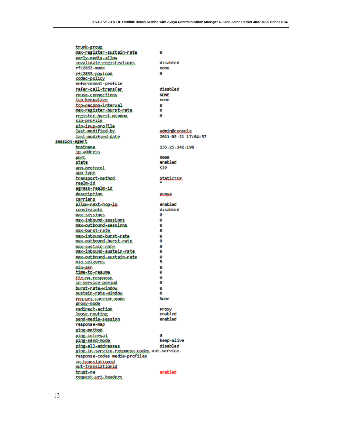trunk-group ø max-negisten-sustain-nate early-media-allow disabled invalidate-registrations rfc2833-mode none rfc2833-payload ø codec-policy enforcement-profile disabled refer=call=transfer **NONE** reuse=connections tcp-keepalive none top-reconn-interval ø max-register-burst-rate ø ø register-burst-window sip-profile sip-isup-profile last-modified-by admin@console last-modified-date 2011-02-21 17:04:57 session-agent bostname 135.25.242.198 ip-address 5060 port. enabled state app-protocol **STP** app-type **StatistCP** transport-method realmid sgress-realm-id description avaya sacriens allow-next-hop-lp. enabled disabled constraints max-sessions ø max-inbound-sessions ø max-outbound-sessions. ø ø max-bucst-cate max-inbound-burst-rate ø max-outbound-burst-rate ø ø max-sustain-rate max-inbound-sustain-rate ø max-outbound-sustain-nate ø min-seizures 5 Θ mineasc time-to-resume ø ttc:no:response ø ø in-service-period bucst-cate-window ø sustain-rate-window ø requuriscanniensmode None proxy-mode redirect-action Proxy loose-routing enabled enabled send-media-session response-map ping-method ping-interval ø keep-alive ping-send-mode ping-all-addresses disabled ping-in-service-response-codes out-serviceresponse-codes media-profiles in-translationid out-translationid enabled trusteme request-uri-headers.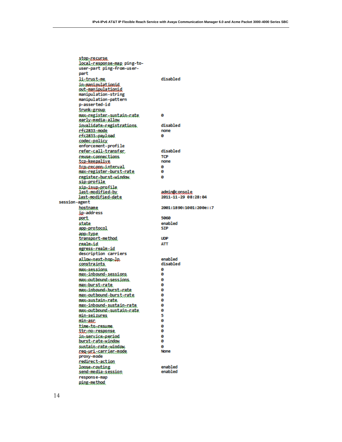stop-regurse local-response-map ping-touser-part ping-from-userpart li-trust-me disabled in-manipulationid out-manipulationid manipulation-string manipulation-pattern p-asserted-id trunk-group. max-register-sustain-rate ø early-media-allow invalidate-registrations disabled rfc2833-mode none rfc2833-payload ø codec-policy enforcement-profile refer-call-transfer. disabled reuse-connections TCP tcp-keepalive none tcp-reconn-interval ø max-register-burst-rate ø register-burst-window ø sip-profile sip-isup-profile last-modified-by admin@console last-modified-date 2011-11-29 08:28:04 session-agent hostname 2001:1890:1001:200e::7 ip-address 5060 port enabled state app-protocol **SIP** app-type transport-method **UDP ATT** realm-id egress-realm-id description carriers allow-next-hop-lp. enabled disabled constraints max-sessions ø max-inbound-sessions ø max-outbound-sessions. ø max-bucst-cate. ø max-inbound-burst-rate ø max-outbound-burst-rate ø max-sustain-rate ø max-inbound-sustain-rate ø max-outbound-sustain-nate ø min-seizures 5 ø mintasc time-to-resume. ø ø ttc.po.response. ø in-service-period ø burst-rate-window sustain-rate-window. ø reg-uri-carrier-mode None proxy-mode redirect-action loose-couting enabled enabled send-media-session response-map ping-method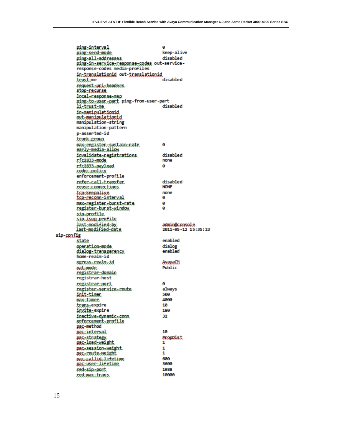ping-interval ø keep-alive ping-send-mode ping-all-addresses disabled ping-in-service-response-codes out-serviceresponse-codes media-profiles in-translationid out-translationid disabled trust-me request-uni-headers stor-regurse local=response=map ping-to-user-part ping-from-user-part li-trust-me disabled in-manipulationid out-manipulationid manipulation-string manipulation-pattern p-asserted-id trunk-group. max-register-sustain-rate ø sarly-media-allow disabled invalidate-registrations. rfc2833-mode none r:fc2833.-payl.oad ø codec-policy enforcement-profile refer=call=transfer. disabled reuse-connections **NONE** tcp-keepalive none ø tcg-reconn-interval max-register-burst-rate ø ø register-burst-window sip-profile. sin-isun-profile last-modified-by admin@console last-modified-date 2011-05-12 15:35:23 sip-config enabled state operation-mode. dialog enabled dialog-transparency. home-realm-id egress-realm-id **AvayaCM** Public nat-mode. registrar-domain registrar-host registrar-port ø always register-service-route init-timen 500 4000 max-timer trans-expire 10 180 imvite-expire inactive-dynamic-conn. 32 enforcement-profile pac-method 10 pac-interval **PropDist** pac-strategy. pac-load-weight 1 pac-session-weight 1 pac-route-weight 1 pac-callid-lifetime 600 pac-user-lifetime 3600 1988 red-sip-port 10000 red-max-trans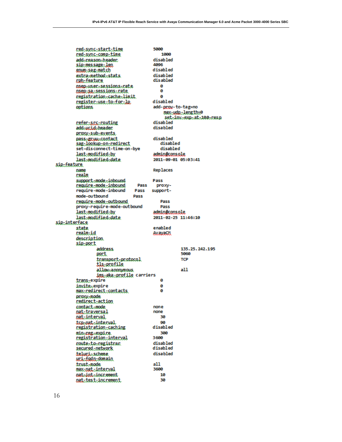5000 red=sync=start=time 1000 red-sync-comp-time add-reason-beader. disabled 4096 sip-message-len disabled soum-sag-match extra-method-stats disabled cph-feature disabled 05ep-user-sessions-rate ø nsep-sa-sessions-rate ø registration=cache=limit ø disabled register.use.to.for.lp add-prov-to-tag=no options. max-udp-length=0 set-inv-exp-at-100-resp disabled refer-arc-routing add-ucid-header disabled proxy-sub-events, disabled pass-gruu-contact disabled sag-lookup-on-redirect set-disconnect-time-on-bye disabled admin@console last\_modified\_by 2011-09-01 05:03:41 last-modified-date sip-feature Replaces name realm support-mode.inbound Pass require-mode-inbound Pass proxyrequire-mode-inbound Pass supportmode-outbound Pass require-mode-outbound Pass proxy-require-mode-outbound Pass last-modified-by admin@console 2011-02-25 11:46:10 last-modified-date sig-interface enabled state **AvavaCM** realm-id description. sip-port address. 135.25.242.195 5060 port. **TCP** transport-protocol tls: profile allow-anonymous.  $a11$ ims-aka-profile carriers ø trans-expire invite-expire ø max-redirect-contacts. ø proxy-mode redirect-action contact-mode none nat-traversal none 30 nat-interval tcg-pat-interval 90 disabled registration-caching 300 min-reg-expire 3600 registration-interval coute-to-registrar. disabled disabled secured-network disabled telucisscheme <u>uci-fada-domain</u>  $a11$ trust-mode max-nat-interval 3600 nat-int-increment 10 30 nat-test-increment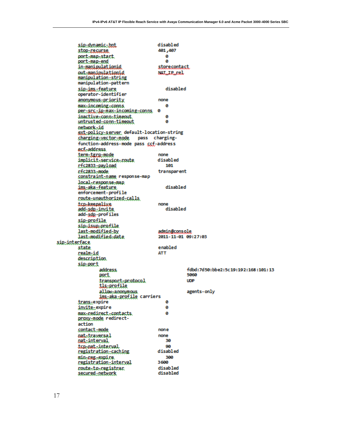disabled sip-dynamic-bot 401,407 stop-regurse port-map-start ø port-map-end ø in-manipulationid storecontact out-manipulationid NAT\_IP\_rel manipulation-string manipulation-pattern sip-ims.:feature disabled operator-identifier anonymous-priority none max-incoming-conns. ø per-arc-ip-max-incoming-conns ø inactive-conn-timeout. ø untrusted-conn-timeout ø network-id ext-policy-server default-location-string changing-vector-mode pass chargingfunction-address-mode pass ccf-address ecf-address. term-tgrg-mode none disabled implicit-service-route 101 rfc2833-payload rfc2833-mode transparent constraint-name response-map local-response-map disabled ims-aka-feature enforcement-profile coute-unauthorized-calls. top-keepalive none add-sdp-invite disabled add-sdp-profiles sig-profile sip-isup-profile last-modified-by admin@console 2011-11-01 09:27:03 last-modified-date sip-interface **state** enabled realm-id **ATT** description sip-port address. fdbd:7d50:bbe2:5c19:192:168:101:13 5060 port. **UDP** transport-protocol tls-profile allow-anonymous agents-only ims.aka.profile carriers trans-expire ø invite-expire ø max-redirect-contacts. ø proxy-mode redirectaction contact-mode none oatatraversal none nat-interval 30 tcp-pat-interval 90 registration-saching disabled 300 min-reg-expire registration-interval 3600 noute-to-registran disabled secured-network disabled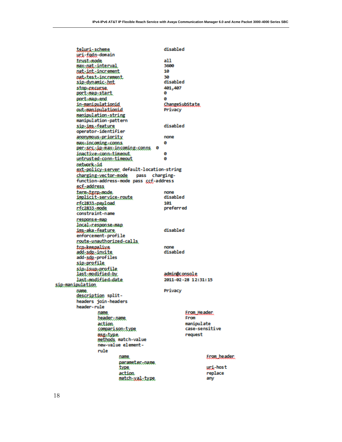disabled teluci-scheme uri-fodn-domain trust-mode  $all$ max-nat-interval 3600 nat-int-increment 10 nat-test-increment 30 disabled sip-dynamic-bot 401,407 stop-recurse. ø port-map-start port-map-end ø in-manipulationid ChangeSubState out-manipulationid Privacy manipulation-string manipulation-pattern disabled sip-ims-feature operator-identifier anonymous-priority none max-incoming-conns. ø per-arc-ip-max-incoming-conns 0 inactive-conn-timeout ø untrusted-conn-timeout ø network-id ext-policy-server default-location-string charging-vector-mode pass chargingfunction-address-mode pass ccf-address ecf-address term-tgrp-mode. none implicit-service-route disabled r:fc2833.-payl.oad 101 preferred rfc2833-mode constraint-name response-map local-response-map disabled ims..aka..feature enforcement-profile route-unauthorized-calls top-keepalike none disabled add-sdp-invite add-sdp-profiles sip-profile sip-isup-profile last-modified-by admin@console last-modified-date 2011-02-28 12:31:15 sip-manipulation Privacy name. description splitheaders join-headers header-rule Econ\_Beadec. name header...name. From action manipulate case-sensitive comparison-type request asg-type. methods match-value new-value elementrule Econ\_beader. name. pacameter...name. uri-host **type** action replace match-xal-type any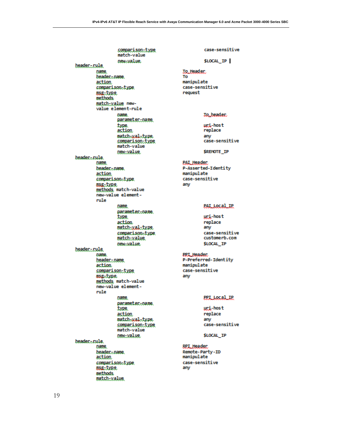comparison-type match-value new-value. beader...rule. name beader-name. action comparison-type msg-type methods. match-value newvalue element-rule name. parameter-name. type. action match=wal=type<br>comparison=type match-value new-value beader...rule. name beader.coane. action comparison-type usg-type methods match-value new-value elementrule name. pacameter...oame. **type** action match-xal-txpe comparison-type match-value. **DEW-Value** header...rule. name. header...name. action. comparison-type msg.type methods match-value new-value elementrule name. pacameter... name. type. action match-wal-type. comparison-type match-value new-value beader.crule. name beader.coane. action. comparison-type msg-type methods. match-value

case-sensitive \$LOCAL\_IP **Jo\_Header** To manipulate case-sensitive request **Jo\_beader** uri-host replace any case-sensitive **SREMOTE IP PAIL Header:** P-Asserted-Identity manipulate case-sensitive any PAI\_Local\_IP uri-host replace any case-sensitive customerb.com \$LOCAL IP **PPT\_Header** P-Preferred-Identity manipulate case-sensitive any **PPI\_Local\_IP** uri-host replace any case-sensitive \$LOCAL IP RPI Header Remote-Party-ID manipulate case-sensitive any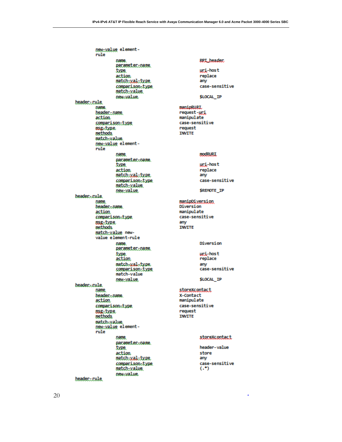new-value elementrule name. parameter-name. type. action. match-yal-type comparison-type match-value new-value. header-rule name. beader...oame. action comparison-type msg-type. methods. match-value. new-value elementrule name. pacameter...oame. type. action match-xal-type comparison-type match-value new-value beader.crule. **Dame** beader.coane. action comparison-type msg-type methods. match-value newvalue element-rule name. parameter-name. type action match-wal-type. comparison-type match-value new-value. beader.crule. name. beader.coane. action comparison-type osg-type methods match-xalue new-value elementrule name. pacameter-name. type. action. match-yal-type comparison-type match-value new-value. header-rule

#### **RPT\_beader**

uri-host replace any case-sensitive

\$LOCAL IP

manipRURI. request-uri manipulate case-sensitive request **INVITE** 

#### **modRURI**

uri-host replace any case-sensitive

\$REMOTE\_IP

manipDiversion Diversion manipulate case-sensitive any **INVITE** 

Diversion

uri-host replace any case-sensitive

\$LOCAL\_IP

#### storeXcootact

X-Contact manipulate case-sensitive request **INVITE** 

#### storeXcontact

header-value store any case-sensitive  $(.*)$ 

à.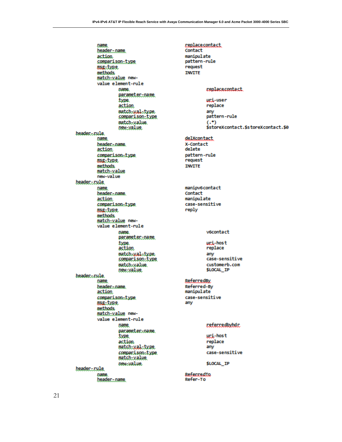Contact

replacecontact

name header-name. action. comparison-type usg-type methods. match-value newvalue element-rule name. parameter-name type. action match-wal-type. comparison-type match-value. new-value beader.crule. name beader.coane. action comparison-type msg-type methods. match-value new-value header-rule name beader.coane. action comparison-type usg-type methods. match-value newvalue element-rule name. parameter-name type. action match-wal-type. comparison-type match-xalue. new-value beader...rule. name beader.coane. action comparison-type usg-type methods. match-value newvalue element-rule name. pacameter...oame. type action. match-xal-txpe comparison-type match-value new-value. beader...rule. name. header-name.

manipulate pattern-rule request **INVITE** replacecontact uri-user replace any pattern-rule  $(.*)$ \$storeXcontact.\$storeXcontact.\$0 delXcontact X-Contact delete pattern-rule request **INVITE** manipv6contact Contact manipulate case-sensitive reply v6contact uri-host replace  $amv$ case-sensitive customerb.com **\$LOCAL IP ReferredBy** Referred-By manipulate case-sensitive any referredbyhdr. uri-host replace  $\sin x$ case-sensitive \$LOCAL IP

ReferredTo Refer-To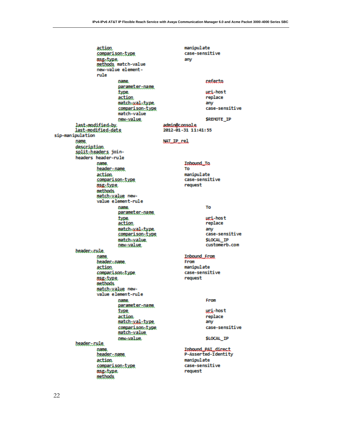action manipulate case-sensitive comparison-type usg.type any methods match-value new-value elementrule name. referto parameter-name. uri-host type. action replace match-wal-type any comparison-type case-sensitive match-value new-value **\$REMOTE IP** last-modified-by. admin@console 2012-01-31 11:41:55 last-modified-date sip-manipulation **NAT IP rel** name. description. split-headers joinheaders header-rule pame. Inbound To beader...pane. To manipulate action comparison-type case-sensitive request msg-type methods. match-value newvalue element-rule name. To parameter-name. uri-host type. action replace match-wal-type. any case-sensitive comparison-type \$LOCAL\_IP match-xalue. customerb.com new-value beader.crule. Inbound From name beader.coane. From manipulate action comparison-type case-sensitive request msg-type methods. match-value newvalue element-rule name. From parameter-name. uri-host type action replace match-xal-type  $amv$ comparison-type case-sensitive match-value \$LOCAL\_IP new-value. beader...rule. name. Inbound\_PAI\_direct P-Asserted-Identity header-name. manipulate action case-sensitive comparison-type usg-type request methods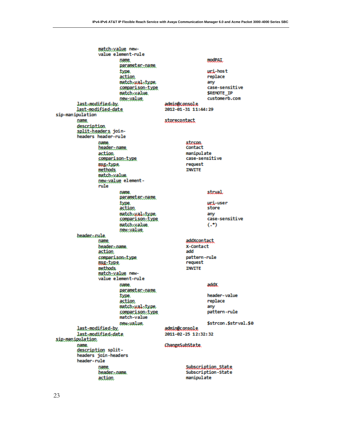match-value newvalue element-rule name modPAI. parameter-name uri-host type. action replace match-wal-type any case-sensitive comparison-type **\$REMOTE IP** match-value. new-value customerb.com last-modified-by. admin@console last-modified-date 2012-01-31 11:44:29 sip-manipulation storecontact name description split-headers joinheaders header-rule name. strcon header...name. Contact manipulate action comparison-type case-sensitive request asg-type **INVITE** methods match-value. new-value elementrule strval name. parameter-name uri-user type. action store match-wal-type any case-sensitive comparison-type  $(.*)$ match-xalue. new-value beader.crule. addXcontact name beader.coane. X-Contact action add pattern-rule comparison-type request msg-type **INVITE** methods. match-value newvalue element-rule name. addX parameter-name header-value type. action replace match-wal-type. any comparison-type pattern-rule match-value \$strcon.\$strval.\$0 **DEW-Value** last-modified-by admin@console last-modified-date 2011-02-25 12:32:32 sip-manipulation ChangeSubState name description splitheaders join-headers header-rule Subscription State name Subscription-State beader.coane. manipulate action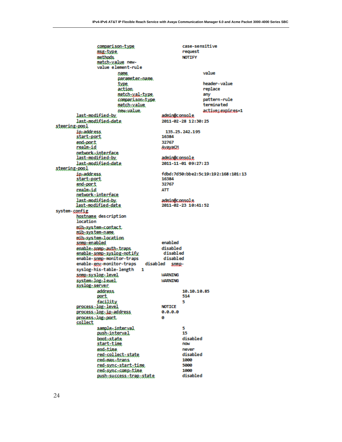comparison-type case-sensitive msg-type. request **NOTTEY** methods. match-value newvalue element-rule value name parameter-name header-value type replace action. match-yal-type any pattern-rule comparison-type terminated match-value new-value. active:expires=1 last-modified-by admin@console last-modified-date 2011-02-28 12:30:25 steering-pool ip-address. 135.25.242.195 16384 start-port end-port 32767 realm-id **AvayaCA** network-interface last-modified-by admin@console 2011-11-01 09:27:23 last-modified-date steering-pool in-address. fdbd:7d50:bbe2:5c19:192:168:101:13 16384 start-port end-port 32767 realm-id **ATT** network-interface last-modified-by. admin@console last-modified-date 2011-02-23 10:41:52 system-config hostname description location mib-system-contact mib.system.name mib-system-location enabled somp-enabled disabled enable=spmp=auth=traps enable-snmp-syslog-notify disabled disabled enable-somp-monitor-traps enable-gny-monitor-traps disabled sompsyslog-his-table-length 1 *MARNTNG* some-syslog-level system=log=level **WARNING** syslog-server. address. 10.10.10.85 514 port. facility 5 **NOTICE** process-log-level process-log-ip-address  $0.0.0.0$ process..log..port. ø collect sample.interval 5 push-interval 15 boot-state disabled start-time now end-time never disabled red-collect-state 1000 red-max-trans red-sync-start-time 5000 1000 redesyncecompetime disabled push-success-trap-state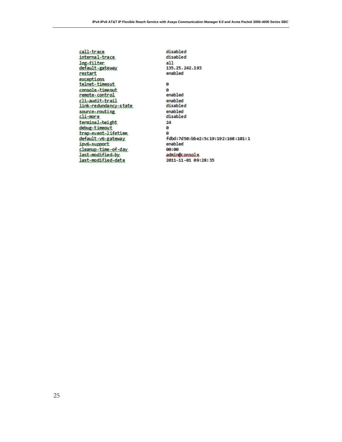sall-trace internal-trace. log-filter default-gateway restart exceptions telnet-timeout console-timeout remote-control clisauditstrail<br>link-redundancy-state source-routing slimone terminal-height debug-timeout trap-event-lifetime default-v6-gateway ipv6-support sleanup-time-of-day last-modified-by. last-modified-date

disabled disabled  $all$ 135.25.242.193 enabled ø ø enabled enabled disabled enabled disabled 24 ø ø fdbd:7d50:bbe2:5c19:192:168:101:1 enabled 00:00 admin@console 2011-11-01 09:28:35